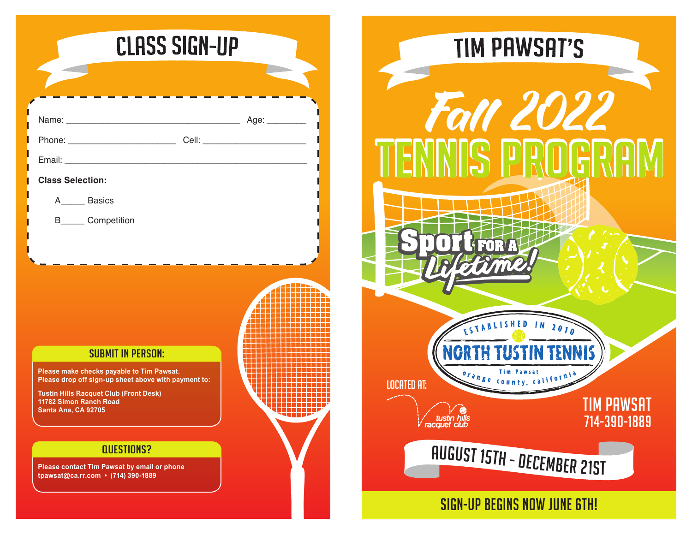|                                               |                                                                                                       | <b>CLASS SIGN-UP</b> |                |  |
|-----------------------------------------------|-------------------------------------------------------------------------------------------------------|----------------------|----------------|--|
|                                               |                                                                                                       |                      |                |  |
|                                               |                                                                                                       |                      |                |  |
|                                               |                                                                                                       |                      |                |  |
|                                               |                                                                                                       |                      |                |  |
| <b>Class Selection:</b>                       |                                                                                                       |                      |                |  |
| A________ Basics                              |                                                                                                       |                      |                |  |
| B______ Competition                           |                                                                                                       |                      |                |  |
|                                               |                                                                                                       |                      |                |  |
|                                               |                                                                                                       |                      |                |  |
|                                               |                                                                                                       |                      |                |  |
|                                               |                                                                                                       |                      |                |  |
|                                               |                                                                                                       |                      |                |  |
|                                               | <b>SUBMIT IN PERSON:</b>                                                                              |                      |                |  |
|                                               | Please make checks payable to Tim Pawsat.                                                             |                      |                |  |
|                                               | Please drop off sign-up sheet above with payment to:<br><b>Tustin Hills Racquet Club (Front Desk)</b> |                      |                |  |
| 11782 Simon Ranch Road<br>Santa Ana, CA 92705 |                                                                                                       |                      | <u>a sa Ba</u> |  |
|                                               |                                                                                                       |                      |                |  |
|                                               | <b>QUESTIONS?</b>                                                                                     |                      |                |  |
| tpawsat@ca.rr.com • (714) 390-1889            | Please contact Tim Pawsat by email or phone                                                           |                      |                |  |
|                                               |                                                                                                       |                      |                |  |